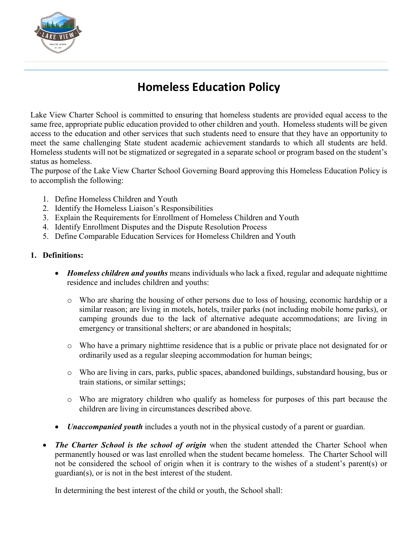

## **Homeless Education Policy**

Lake View Charter School is committed to ensuring that homeless students are provided equal access to the same free, appropriate public education provided to other children and youth. Homeless students will be given access to the education and other services that such students need to ensure that they have an opportunity to meet the same challenging State student academic achievement standards to which all students are held. Homeless students will not be stigmatized or segregated in a separate school or program based on the student's status as homeless.

The purpose of the Lake View Charter School Governing Board approving this Homeless Education Policy is to accomplish the following:

- 1. Define Homeless Children and Youth
- 2. Identify the Homeless Liaison's Responsibilities
- 3. Explain the Requirements for Enrollment of Homeless Children and Youth
- 4. Identify Enrollment Disputes and the Dispute Resolution Process
- 5. Define Comparable Education Services for Homeless Children and Youth

## **1. Definitions:**

- *Homeless children and youths* means individuals who lack a fixed, regular and adequate nighttime residence and includes children and youths:
	- o Who are sharing the housing of other persons due to loss of housing, economic hardship or a similar reason; are living in motels, hotels, trailer parks (not including mobile home parks), or camping grounds due to the lack of alternative adequate accommodations; are living in emergency or transitional shelters; or are abandoned in hospitals;
	- o Who have a primary nighttime residence that is a public or private place not designated for or ordinarily used as a regular sleeping accommodation for human beings;
	- o Who are living in cars, parks, public spaces, abandoned buildings, substandard housing, bus or train stations, or similar settings;
	- o Who are migratory children who qualify as homeless for purposes of this part because the children are living in circumstances described above.
- *Unaccompanied youth* includes a youth not in the physical custody of a parent or guardian.
- *The Charter School is the school of origin* when the student attended the Charter School when permanently housed or was last enrolled when the student became homeless. The Charter School will not be considered the school of origin when it is contrary to the wishes of a student's parent(s) or guardian(s), or is not in the best interest of the student.

In determining the best interest of the child or youth, the School shall: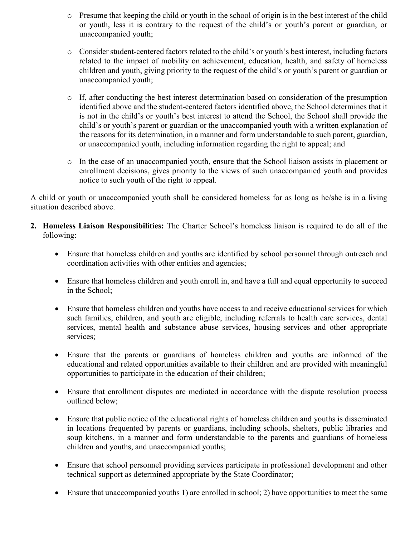- o Presume that keeping the child or youth in the school of origin is in the best interest of the child or youth, less it is contrary to the request of the child's or youth's parent or guardian, or unaccompanied youth;
- o Consider student-centered factors related to the child's or youth's best interest, including factors related to the impact of mobility on achievement, education, health, and safety of homeless children and youth, giving priority to the request of the child's or youth's parent or guardian or unaccompanied youth;
- o If, after conducting the best interest determination based on consideration of the presumption identified above and the student-centered factors identified above, the School determines that it is not in the child's or youth's best interest to attend the School, the School shall provide the child's or youth's parent or guardian or the unaccompanied youth with a written explanation of the reasons for its determination, in a manner and form understandable to such parent, guardian, or unaccompanied youth, including information regarding the right to appeal; and
- o In the case of an unaccompanied youth, ensure that the School liaison assists in placement or enrollment decisions, gives priority to the views of such unaccompanied youth and provides notice to such youth of the right to appeal.

A child or youth or unaccompanied youth shall be considered homeless for as long as he/she is in a living situation described above.

- **2. Homeless Liaison Responsibilities:** The Charter School's homeless liaison is required to do all of the following:
	- Ensure that homeless children and youths are identified by school personnel through outreach and coordination activities with other entities and agencies;
	- Ensure that homeless children and youth enroll in, and have a full and equal opportunity to succeed in the School;
	- Ensure that homeless children and youths have access to and receive educational services for which such families, children, and youth are eligible, including referrals to health care services, dental services, mental health and substance abuse services, housing services and other appropriate services;
	- Ensure that the parents or guardians of homeless children and youths are informed of the educational and related opportunities available to their children and are provided with meaningful opportunities to participate in the education of their children;
	- Ensure that enrollment disputes are mediated in accordance with the dispute resolution process outlined below;
	- Ensure that public notice of the educational rights of homeless children and youths is disseminated in locations frequented by parents or guardians, including schools, shelters, public libraries and soup kitchens, in a manner and form understandable to the parents and guardians of homeless children and youths, and unaccompanied youths;
	- Ensure that school personnel providing services participate in professional development and other technical support as determined appropriate by the State Coordinator;
	- Ensure that unaccompanied youths 1) are enrolled in school; 2) have opportunities to meet the same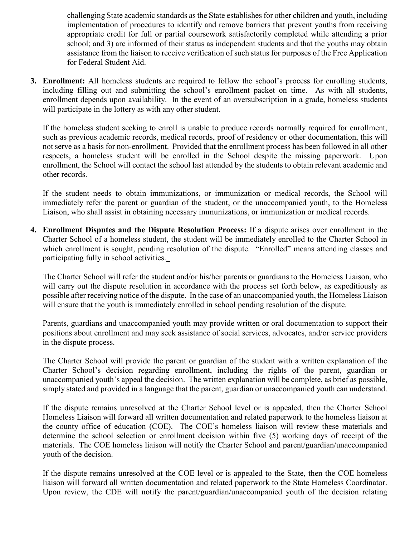challenging State academic standards as the State establishes for other children and youth, including implementation of procedures to identify and remove barriers that prevent youths from receiving appropriate credit for full or partial coursework satisfactorily completed while attending a prior school; and 3) are informed of their status as independent students and that the youths may obtain assistance from the liaison to receive verification of such status for purposes of the Free Application for Federal Student Aid.

**3. Enrollment:** All homeless students are required to follow the school's process for enrolling students, including filling out and submitting the school's enrollment packet on time. As with all students, enrollment depends upon availability. In the event of an oversubscription in a grade, homeless students will participate in the lottery as with any other student.

If the homeless student seeking to enroll is unable to produce records normally required for enrollment, such as previous academic records, medical records, proof of residency or other documentation, this will not serve as a basis for non-enrollment. Provided that the enrollment process has been followed in all other respects, a homeless student will be enrolled in the School despite the missing paperwork. Upon enrollment, the School will contact the school last attended by the students to obtain relevant academic and other records.

If the student needs to obtain immunizations, or immunization or medical records, the School will immediately refer the parent or guardian of the student, or the unaccompanied youth, to the Homeless Liaison, who shall assist in obtaining necessary immunizations, or immunization or medical records.

**4. Enrollment Disputes and the Dispute Resolution Process:** If a dispute arises over enrollment in the Charter School of a homeless student, the student will be immediately enrolled to the Charter School in which enrollment is sought, pending resolution of the dispute. "Enrolled" means attending classes and participating fully in school activities.

The Charter School will refer the student and/or his/her parents or guardians to the Homeless Liaison, who will carry out the dispute resolution in accordance with the process set forth below, as expeditiously as possible after receiving notice of the dispute. In the case of an unaccompanied youth, the Homeless Liaison will ensure that the youth is immediately enrolled in school pending resolution of the dispute.

Parents, guardians and unaccompanied youth may provide written or oral documentation to support their positions about enrollment and may seek assistance of social services, advocates, and/or service providers in the dispute process.

The Charter School will provide the parent or guardian of the student with a written explanation of the Charter School's decision regarding enrollment, including the rights of the parent, guardian or unaccompanied youth's appeal the decision. The written explanation will be complete, as brief as possible, simply stated and provided in a language that the parent, guardian or unaccompanied youth can understand.

If the dispute remains unresolved at the Charter School level or is appealed, then the Charter School Homeless Liaison will forward all written documentation and related paperwork to the homeless liaison at the county office of education (COE). The COE's homeless liaison will review these materials and determine the school selection or enrollment decision within five (5) working days of receipt of the materials. The COE homeless liaison will notify the Charter School and parent/guardian/unaccompanied youth of the decision.

If the dispute remains unresolved at the COE level or is appealed to the State, then the COE homeless liaison will forward all written documentation and related paperwork to the State Homeless Coordinator. Upon review, the CDE will notify the parent/guardian/unaccompanied youth of the decision relating